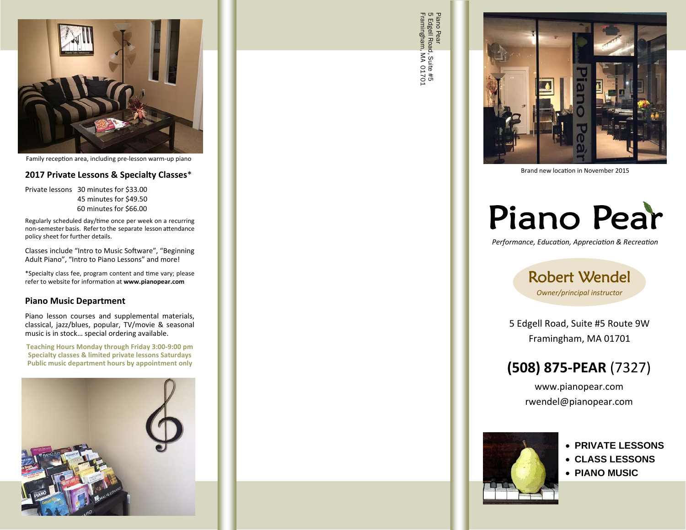

Family reception area, including pre-lesson warm-up piano

## **2017 Private Lessons & Specialty Classes**\*

Private lessons 30 minutes for \$33.00 45 minutes for \$49.50 60 minutes for \$66.00

Regularly scheduled day/time once per week on a recurring non-semester basis. Refer to the separate lesson attendance policy sheet for further details.

Classes include "Intro to Music Software", "Beginning Adult Piano", "Intro to Piano Lessons" and more!

\*Specialty class fee, program content and Ɵme vary; please refer to website for informaƟon at **www.pianopear.com**

## **Piano Music Department**

Piano lesson courses and supplemental materials, classical, jazz/blues, popular, TV/movie & seasonal music is in stock… special ordering available.

**Teaching Hours Monday through Friday 3:00‐9:00 pm Specialty classes & limited private lessons Saturdays Public music department hours by appointment only**



Framingham, MA 01701 5 Edgell Road, Suite #5 Piano Pear<br>5 Edgell Road, Suite #5<br>Framingham, MA 01701



Brand new location in November 2015

# Piano Pear

*Performance, Educa Ɵon, Apprecia Ɵon & Recrea Ɵon* 

Robert Wendel *Owner/principal instructor* 

5 Edgell Road, Suite #5 Route 9W Framingham, MA 01701

## **(508) 875‐PEAR** (7327)

www.pianopear.com rwendel@pianopear.com



## **PRIVATE LESSONS**

- **CLASS LESSONS**
- **PIANO MUSIC**